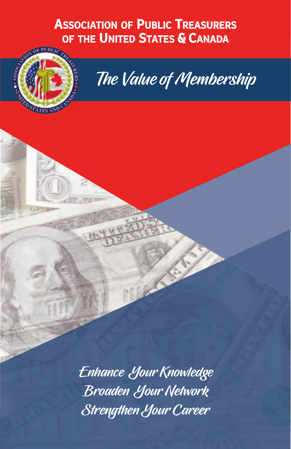# **ASSOCIATION OF PUBLIC TREASURERS<br>OF THE UNITED STATES & CANADA**



# The Value of Membership

Enhance Your Knowledge Broaden Your Network Strengthen Your Career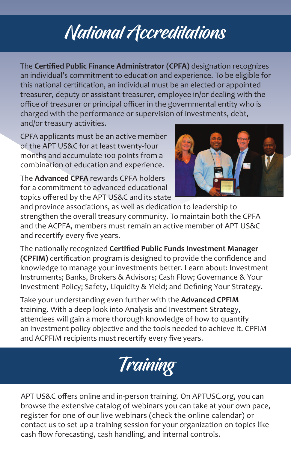# National Accreditations

The **Certified Public Finance Administrator (CPFA)** designation recognizes an individual's commitment to education and experience. To be eligible for this national certification, an individual must be an elected or appointed treasurer, deputy or assistant treasurer, employee in/or dealing with the office of treasurer or principal officer in the governmental entity who is charged with the performance or supervision of investments, debt, and/or treasury activities.

CPFA applicants must be an active member of the APT US&C for at least twenty‐four months and accumulate 100 points from a combination of education and experience.

The **Advanced CPFA** rewards CPFA holders for a commitment to advanced educational topics offered by the APT US&C and its state



and province associations, as well as dedication to leadership to strengthen the overall treasury community. To maintain both the CPFA and the ACPFA, members must remain an active member of APT US&C and recertify every five years.

The nationally recognized **Certified Public Funds Investment Manager (CPFIM)** certification program is designed to provide the confidence and knowledge to manage your investments better. Learn about: Investment Instruments; Banks, Brokers & Advisors; Cash Flow; Governance & Your Investment Policy; Safety, Liquidity & Yield; and Defining Your Strategy.

Take your understanding even further with the **Advanced CPFIM** training. With a deep look into Analysis and Investment Strategy, attendees will gain a more thorough knowledge of how to quantify an investment policy objective and the tools needed to achieve it. CPFIM and ACPFIM recipients must recertify every five years.



APT US&C offers online and in‐person training. On APTUSC.org, you can browse the extensive catalog of webinars you can take at your own pace, register for one of our live webinars (check the online calendar) or contact us to set up a training session for your organization on topics like cash flow forecasting, cash handling, and internal controls.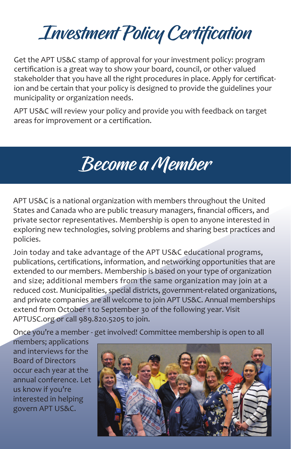# Investment Policy Certification

Get the APT US&C stamp of approval for your investment policy: program certification is a great way to show your board, council, or other valued stakeholder that you have all the right procedures in place. Apply for certification and be certain that your policy is designed to provide the guidelines your municipality or organization needs.

APT US&C will review your policy and provide you with feedback on target areas for improvement or a certification.

### Become a Member

APT US&C is a national organization with members throughout the United States and Canada who are public treasury managers, financial officers, and private sector representatives. Membership is open to anyone interested in exploring new technologies, solving problems and sharing best practices and policies.

Join today and take advantage of the APT US&C educational programs, publications, certifications, information, and networking opportunities that are extended to our members. Membership is based on your type of organization and size; additional members from the same organization may join at a reduced cost. Municipalities, special districts, government-related organizations, and private companies are all welcome to join APT US&C. Annual memberships extend from October 1 to September 30 of the following year. Visit APTUSC.org or call 989.820.5205 to join.

Once you're a member ‐ get involved! Committee membership is open to all

members; applications and interviews for the Board of Directors occur each year at the annual conference. Let us know if you're interested in helping govern APT US&C.